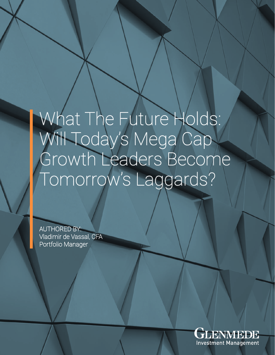# What The Future Holds: Will Today's Mega Cap Growth Leaders Become Tomorrow's Laggards?

AUTHORED BY: Vladimir de Vassal, CFA Portfolio Manager

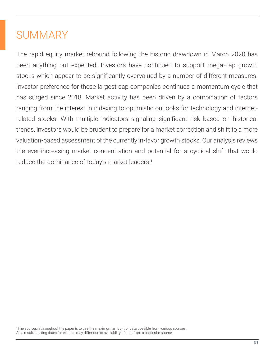## **SUMMARY**

The rapid equity market rebound following the historic drawdown in March 2020 has been anything but expected. Investors have continued to support mega-cap growth stocks which appear to be significantly overvalued by a number of different measures. Investor preference for these largest cap companies continues a momentum cycle that has surged since 2018. Market activity has been driven by a combination of factors ranging from the interest in indexing to optimistic outlooks for technology and internetrelated stocks. With multiple indicators signaling significant risk based on historical trends, investors would be prudent to prepare for a market correction and shift to a more valuation-based assessment of the currently in-favor growth stocks. Our analysis reviews the ever-increasing market concentration and potential for a cyclical shift that would reduce the dominance of today's market leaders.<sup>1</sup>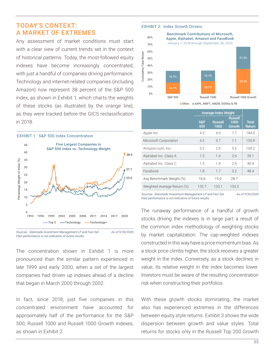## TODAY'S CONTEXT: A MARKET OF EXTREMES

Any assessment of market conditions must start with a clear view of current trends set in the context of historical patterns. Today, the most-followed equity indexes have become increasingly concentrated, with just a handful of companies driving performance. Technology and internet-related companies (including Amazon) now represent 38 percent of the S&P 500 index, as shown in Exhibit 1, which charts the weights of these stocks (as illustrated by the orange line), as they were tracked before the GICS reclassification in 2018.





Sources: Glenmede Investment Management LP and Fact Set As of 9/30/2020 *Past performance is not indicative of future results.*

The concentration shown in Exhibit 1 is more pronounced than the similar pattern experienced in late 1999 and early 2000, when a set of the largest companies had driven up indexes ahead of a decline that began in March 2000 through 2002.

In fact, since 2018, just five companies in this concentrated environment have accounted for approximately half of the performance for the S&P 500, Russell 1000 and Russell 1000 Growth indexes, as shown in Exhibit 2.

#### EXHIBIT 2: Index Growth Drivers



■ Other ■ AAPL, MSFT, AMZN, GOOGs & FB

|                             | <b>Average Index Weight</b> |                        |                                  |                               |
|-----------------------------|-----------------------------|------------------------|----------------------------------|-------------------------------|
|                             | S&P<br>500                  | <b>Russell</b><br>1000 | <b>Russell</b><br>1000<br>Growth | <b>Total</b><br><b>Return</b> |
| Apple Inc.                  | 4.3                         | 4.0                    | 7.7                              | 184.0                         |
| Microsoft Corporation       | 4.2                         | 3.7                    | 71                               | 155.9                         |
| Amazon.com, Inc.            | 3.2                         | 2.9                    | 5.6                              | 169.2                         |
| Alphabet Inc. Class A       | 1.5                         | 1.4                    | 2.6                              | 39.1                          |
| Alphabet Inc. Class C       | 1.5                         | 1.4                    | 2.6                              | 40.4                          |
| Facebook                    | 1.8                         | 1.7                    | 3.2                              | 48.4                          |
| Avg Benchmark Weight (%)    | 16.6                        | 15.0                   | 28.7                             |                               |
| Weighted Average Return (%) | 132.7                       | 133.1                  | 133.3                            |                               |

Sources: Glenmede Investment Management LP and Fact Set As of 9/30/2020 *Past performance is not indicative of future results.*

The runaway performance of a handful of growth stocks driving the indexes is in large part a result of the common index methodology of weighting stocks by market capitalization. The cap-weighted indexes constructed in this way have a price momentum bias. As a stock price climbs higher, the stock receives a greater weight in the index. Conversely, as a stock declines in value, its relative weight in the index becomes lower. Investors must be aware of the resulting concentration risk when constructing their portfolios.

With these growth stocks dominating, the market also has experienced extremes in the differences between equity style returns. Exhibit 3 shows the wide dispersion between growth and value styles. Total returns for stocks only in the Russell Top 200 Growth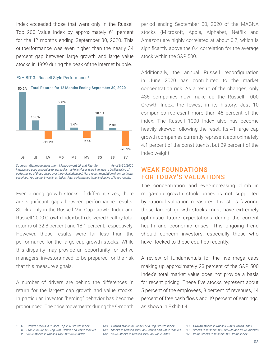Index exceeded those that were only in the Russell Top 200 Value Index by approximately 61 percent for the 12 months ending September 30, 2020. This outperformance was even higher than the nearly 34 percent gap between large growth and large value stocks in 1999 during the peak of the internet bubble.



#### EXHIBIT 3: Russell Style Performance²

Sources: Glenmede Investment Management LP and Fact Set As of 9/30/2020 *Indexes are used as proxies for particular market styles and are intended to be illustrative of performance of those styles over the indicated period. Not a recommendation of any particular securities. You cannot invest in an index. Past performance is not indicative of future results.*

Even among growth stocks of different sizes, there are significant gaps between performance results. Stocks only in the Russell Mid Cap Growth Index and Russell 2000 Growth Index both delivered healthy total returns of 32.8 percent and 18.1 percent, respectively. However, those results were far less than the performance for the large cap growth stocks. While this disparity may provide an opportunity for active managers, investors need to be prepared for the risk that this measure signals.

A number of drivers are behind the differences in return for the largest cap growth and value stocks. In particular, investor "herding" behavior has become pronounced. The price movements during the 9-month period ending September 30, 2020 of the MAGNA stocks (Microsoft, Apple, Alphabet, Netflix and Amazon) are highly correlated at about 0.7, which is significantly above the 0.4 correlation for the average stock within the S&P 500.

Additionally, the annual Russell reconfiguration in June 2020 has contributed to the market concentration risk. As a result of the changes, only 435 companies now make up the Russell 1000 Growth Index, the fewest in its history. Just 10 companies represent more than 45 percent of the index. The Russell 1000 Index also has become heavily skewed following the reset. Its 41 large cap growth companies currently represent approximately 4.1 percent of the constituents, but 29 percent of the index weight.

## WEAK FOUNDATIONS FOR TODAY'S VALUATIONS

The concentration and ever-increasing climb in mega-cap growth stock prices is not supported by rational valuation measures. Investors favoring these largest growth stocks must have extremely optimistic future expectations during the current health and economic crises. This ongoing trend should concern investors, especially those who have flocked to these equities recently.

A review of fundamentals for the five mega caps making up approximately 23 percent of the S&P 500 Index's total market value does not provide a basis for recent pricing. These five stocks represent about 5 percent of the employees, 8 percent of revenues, 14 percent of free cash flows and 19 percent of earnings, as shown in Exhibit 4.

*LG – Growth stocks in Russell Top 200 Growth Index ² LB – Stocks in Russell Top 200 Growth and Value Indexes LV – Value stocks in Russell Top 200 Value Index*

*MG – Growth stocks in Russell Mid Cap Growth Index MB – Stocks in Russell Mid Cap Growth and Value Indexes MV – Value stocks in Russell Mid Cap Value Index*

*SG – Growth stocks in Russell 2000 Growth Index*

- *SB Stocks in Russell 2000 Growth and Value Indexes*
- *SV Value stocks in Russell 2000 Value Index*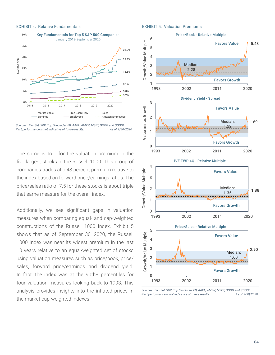#### EXHIBIT 4: Relative Fundamentals



*Sources: FactSet, S&P; Top 5 includes FB, AAPL, AMZN, MSFT, GOOG and GOOGL*  Past performance is not indicative of future results. As of 9/30/2020

The same is true for the valuation premium in the five largest stocks in the Russell 1000. This group of companies trades at a 48 percent premium relative to the index based on forward price/earnings ratios. The price/sales ratio of 7.5 for these stocks is about triple that same measure for the overall index.

Additionally, we see significant gaps in valuation measures when comparing equal- and cap-weighted constructions of the Russell 1000 Index. Exhibit 5 shows that as of September 30, 2020, the Russell 1000 Index was near its widest premium in the last 10 years relative to an equal-weighted set of stocks using valuation measures such as price/book, price/ sales, forward price/earnings and dividend yield. In fact, the index was at the 90th+ percentiles for four valuation measures looking back to 1993. This analysis provides insights into the inflated prices in the market cap-weighted indexes.

EXHIBIT 5: Valuation Premiums



*Sources: FactSet, S&P; Top 5 includes FB, AAPL, AMZN, MSFT, GOOG and GOOGL*  Past performance is not indicative of future results. As of 9/30/2020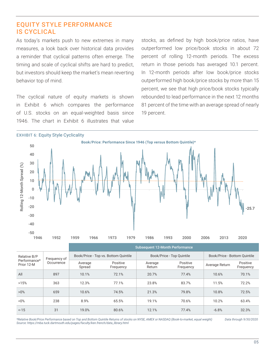## EQUITY STYLE PERFORMANCE IS CYCLICAL

As today's markets push to new extremes in many measures, a look back over historical data provides a reminder that cyclical patterns often emerge. The timing and scale of cyclical shifts are hard to predict, but investors should keep the market's mean reverting behavior top of mind.

The cyclical nature of equity markets is shown in Exhibit 6 which compares the performance of U.S. stocks on an equal-weighted basis since 1946. The chart in Exhibit 6 illustrates that value

stocks, as defined by high book/price ratios, have outperformed low price/book stocks in about 72 percent of rolling 12-month periods. The excess return in those periods has averaged 10.1 percent. In 12-month periods after low book/price stocks outperformed high book/price stocks by more than 15 percent, we see that high price/book stocks typically rebounded to lead performance in the next 12 months 81 percent of the time with an average spread of nearly 19 percent.



|                                            |                            | <b>Subsequent 12-Month Performance</b> |                       |                           |                       |                              |                       |
|--------------------------------------------|----------------------------|----------------------------------------|-----------------------|---------------------------|-----------------------|------------------------------|-----------------------|
| Relative B/P<br>Performance*<br>Prior 12-M | Frequency of<br>Occurrence | Book/Price - Top vs. Bottom Quintile   |                       | Book/Price - Top Quintile |                       | Book/Price - Bottom Ouintile |                       |
|                                            |                            | Average<br>Spread                      | Positive<br>Frequency | Average<br>Return         | Positive<br>Frequency | Average Return               | Positive<br>Frequency |
| All                                        | 897                        | 10.1%                                  | 72.1%                 | 20.7%                     | 77.4%                 | 10.6%                        | 70.1%                 |
| >15%                                       | 363                        | 12.3%                                  | 77.1%                 | 23.8%                     | 83.7%                 | 11.5%                        | 72.2%                 |
| $>0\%$                                     | 659                        | 10.6%                                  | 74.5%                 | 21.3%                     | 79.8%                 | 10.8%                        | 72.5%                 |
| $< 0\%$                                    | 238                        | 8.9%                                   | 65.5%                 | 19.1%                     | 70.6%                 | 10.2%                        | 63.4%                 |
| $< -15$                                    | 31                         | 19.0%                                  | 80.6%                 | 12.1%                     | 77.4%                 | $-6.8%$                      | 32.3%                 |

*\*Relative Book/Price Performance based on Top and Bottom Quintile Returns of stocks on NYSE, AMEX or NASDAQ (Book-to-market, equal weight) Data through 9/30/2020 Source: https://mba.tuck.dartmouth.edu/pages/faculty/ken.french/data\_library.html*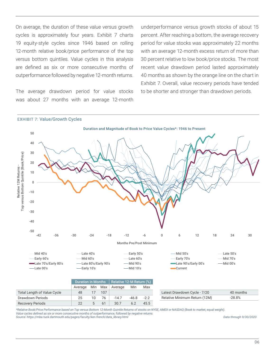On average, the duration of these value versus growth cycles is approximately four years. Exhibit 7 charts 19 equity-style cycles since 1946 based on rolling 12-month relative book/price performance of the top versus bottom quintiles. Value cycles in this analysis are defined as six or more consecutive months of outperformance followed by negative 12-month returns.

The average drawdown period for value stocks was about 27 months with an average 12-month

underperformance versus growth stocks of about 15 percent. After reaching a bottom, the average recovery period for value stocks was approximately 22 months with an average 12-month excess return of more than 30 percent relative to low book/price stocks. The most recent value drawdown period lasted approximately 40 months as shown by the orange line on the chart in Exhibit 7. Overall, value recovery periods have tended to be shorter and stronger than drawdown periods.

#### EXHIBIT 7: Value/Growth Cycles



*\*Relative Book/Price Performance based on Top versus Bottom 12-Month Quintile Returns of stocks on NYSE, AMEX or NASDAQ (Book to market, equal weight). Value cycles defined as six or more consecutive months of outperformance, followed by negative returns. Source: https://mba.tuck.dartmouth.edu/pages/faculty/ken.french/data\_library.html Data through 9/30/2020*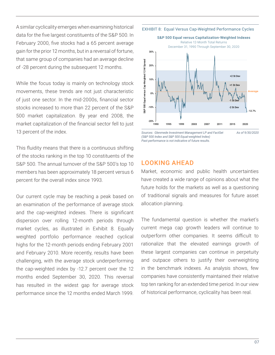A similar cyclicality emerges when examining historical data for the five largest constituents of the S&P 500. In February 2000, five stocks had a 65 percent average gain for the prior 12 months, but in a reversal of fortune, that same group of companies had an average decline of -28 percent during the subsequent 12 months.

While the focus today is mainly on technology stock movements, these trends are not just characteristic of just one sector. In the mid-2000s, financial sector stocks increased to more than 22 percent of the S&P 500 market capitalization. By year end 2008, the market capitalization of the financial sector fell to just 13 percent of the index.

This fluidity means that there is a continuous shifting of the stocks ranking in the top 10 constituents of the S&P 500. The annual turnover of the S&P 500's top 10 members has been approximately 18 percent versus 6 percent for the overall index since 1993.

Our current cycle may be reaching a peak based on an examination of the performance of average stock and the cap-weighted indexes. There is significant dispersion over rolling 12-month periods through market cycles, as illustrated in Exhibit 8. Equally weighted portfolio performance reached cyclical highs for the 12-month periods ending February 2001 and February 2010. More recently, results have been challenging, with the average stock underperforming the cap-weighted index by -12.7 percent over the 12 months ended September 30, 2020. This reversal has resulted in the widest gap for average stock performance since the 12 months ended March 1999.

EXHIBIT 8: Equal Versus Cap-Weighted Performance Cycles



*Sources: Glenmede Investment Management LP and FactSet As of 9/30/2020 (S&P 500 Index and S&P 500 Equal-weighted Index) Past performance is not indicative of future results.*

## LOOKING AHEAD

Market, economic and public health uncertainties have created a wide range of opinions about what the future holds for the markets as well as a questioning of traditional signals and measures for future asset allocation planning.

The fundamental question is whether the market's current mega cap growth leaders will continue to outperform other companies. It seems difficult to rationalize that the elevated earnings growth of these largest companies can continue in perpetuity and outpace others to justify their overweighting in the benchmark indexes. As analysis shows, few companies have consistently maintained their relative top ten ranking for an extended time period. In our view of historical performance, cyclicality has been real.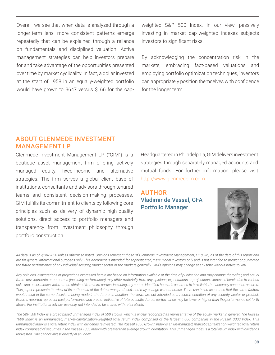Overall, we see that when data is analyzed through a longer-term lens, more consistent patterns emerge repeatedly that can be explained through a reliance on fundamentals and disciplined valuation. Active management strategies can help investors prepare for and take advantage of the opportunities presented over time by market cyclicality. In fact, a dollar invested at the start of 1958 in an equally-weighted portfolio would have grown to \$647 versus \$166 for the cap-

weighted S&P 500 Index. In our view, passively investing in market cap-weighted indexes subjects investors to significant risks.

By acknowledging the concentration risk in the markets, embracing fact-based valuations and employing portfolio optimization techniques, investors can appropriately position themselves with confidence for the longer term.

## ABOUT GLENMEDE INVESTMENT MANAGEMENT LP

Glenmede Investment Management LP ("GIM") is a boutique asset management firm offering actively managed equity, fixed-income and alternative strategies. The firm serves a global client base of institutions, consultants and advisors through tenured teams and consistent decision-making processes. GIM fulfills its commitment to clients by following core principles such as delivery of dynamic high-quality solutions, direct access to portfolio managers and transparency from investment philosophy through portfolio construction.

Headquartered in Philadelphia, GIM delivers investment strategies through separately managed accounts and mutual funds. For further information, please visit http://www.glenmedeim.com.

AUTHOR Vladimir de Vassal, CFA Portfolio Manager



*All data is as of 9/30/2020 unless otherwise noted. Opinions represent those of Glenmede Investment Management, LP (GIM) as of the date of this report and*  are for general informational purposes only. This document is intended for sophisticated, institutional investors only and is not intended to predict or guarantee *the future performance of any individual security, market sector or the markets generally. GIM's opinions may change at any time without notice to you.*

*Any opinions, expectations or projections expressed herein are based on information available at the time of publication and may change thereafter, and actual future developments or outcomes (including performance) may differ materially from any opinions, expectations or projections expressed herein due to various risks and uncertainties. Information obtained from third parties, including any source identified herein, is assumed to be reliable, but accuracy cannot be assured. This paper represents the view of its authors as of the date it was produced, and may change without notice. There can be no assurance that the same factors would result in the same decisions being made in the future. In addition, the views are not intended as a recommendation of any security, sector or product. Returns reported represent past performance and are not indicative of future results. Actual performance may be lower or higher than the performance set forth above. For institutional adviser use only, not intended to be shared with retail clients.*

*The S&P 500 Index is a broad based unmanaged index of 500 stocks, which is widely recognized as representative of the equity market in general. The Russell 1000 Index is an unmanaged, market-capitalization-weighted total return index comprised of the largest 1,000 companies in the Russell 3000 Index. This unmanaged index is a total return index with dividends reinvested. The Russell 1000 Growth Index is an un-managed, market-capitalization-weighted total return index comprised of securities in the Russell 1000 Index with greater than average growth orientation. This unmanaged index is a total return index with dividends reinvested. One cannot invest directly in an index.*